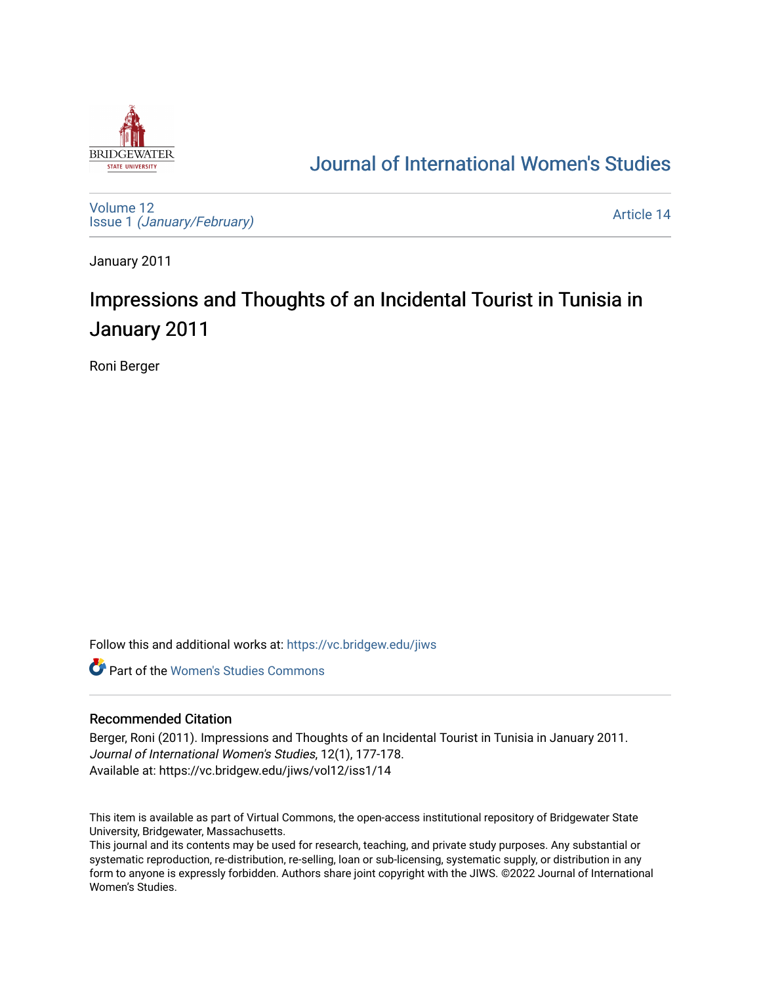

## [Journal of International Women's Studies](https://vc.bridgew.edu/jiws)

[Volume 12](https://vc.bridgew.edu/jiws/vol12) Issue 1 [\(January/February\)](https://vc.bridgew.edu/jiws/vol12/iss1) 

[Article 14](https://vc.bridgew.edu/jiws/vol12/iss1/14) 

January 2011

# Impressions and Thoughts of an Incidental Tourist in Tunisia in January 2011

Roni Berger

Follow this and additional works at: [https://vc.bridgew.edu/jiws](https://vc.bridgew.edu/jiws?utm_source=vc.bridgew.edu%2Fjiws%2Fvol12%2Fiss1%2F14&utm_medium=PDF&utm_campaign=PDFCoverPages)

**C** Part of the Women's Studies Commons

#### Recommended Citation

Berger, Roni (2011). Impressions and Thoughts of an Incidental Tourist in Tunisia in January 2011. Journal of International Women's Studies, 12(1), 177-178. Available at: https://vc.bridgew.edu/jiws/vol12/iss1/14

This item is available as part of Virtual Commons, the open-access institutional repository of Bridgewater State University, Bridgewater, Massachusetts.

This journal and its contents may be used for research, teaching, and private study purposes. Any substantial or systematic reproduction, re-distribution, re-selling, loan or sub-licensing, systematic supply, or distribution in any form to anyone is expressly forbidden. Authors share joint copyright with the JIWS. ©2022 Journal of International Women's Studies.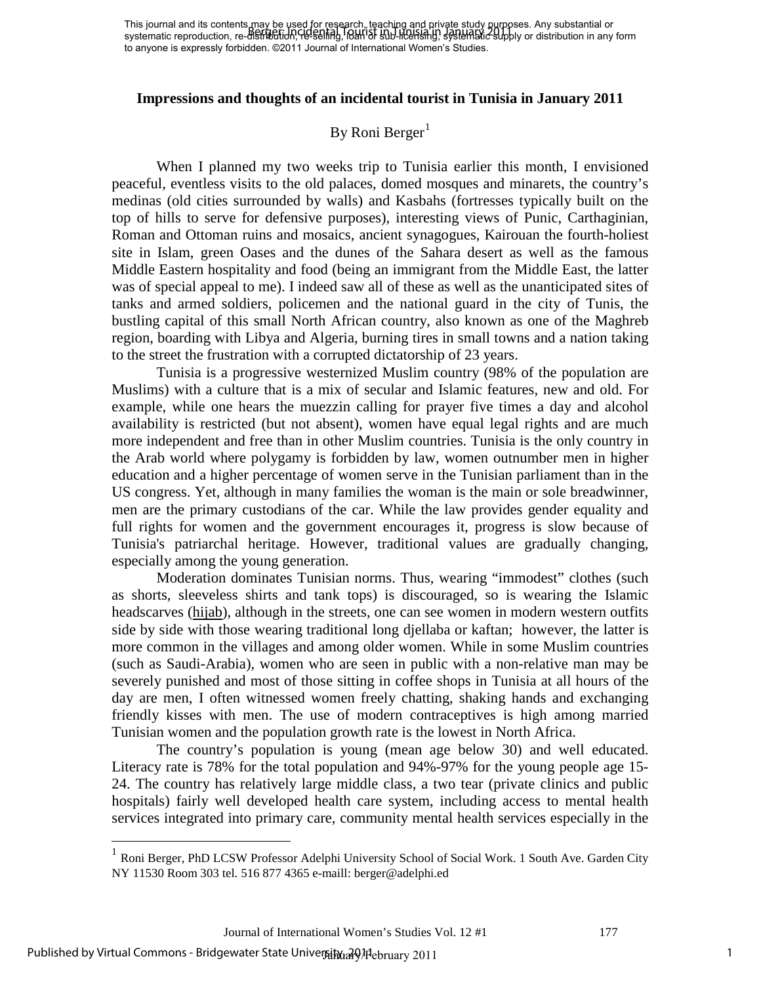#### **Impressions and thoughts of an incidental tourist in Tunisia in January 2011**

### By Roni Berger<sup>[1](#page-1-0)</sup>

When I planned my two weeks trip to Tunisia earlier this month, I envisioned peaceful, eventless visits to the old palaces, domed mosques and minarets, the country's medinas (old cities surrounded by walls) and Kasbahs (fortresses typically built on the top of hills to serve for defensive purposes), interesting views of Punic, Carthaginian, Roman and Ottoman ruins and mosaics, ancient synagogues, Kairouan the fourth-holiest site in Islam, green Oases and the dunes of the Sahara desert as well as the famous Middle Eastern hospitality and food (being an immigrant from the Middle East, the latter was of special appeal to me). I indeed saw all of these as well as the unanticipated sites of tanks and armed soldiers, policemen and the national guard in the city of Tunis, the bustling capital of this small North African country, also known as one of the Maghreb region, boarding with Libya and Algeria, burning tires in small towns and a nation taking to the street the frustration with a corrupted dictatorship of 23 years.

Tunisia is a progressive westernized Muslim country (98% of the population are Muslims) with a culture that is a mix of secular and Islamic features, new and old. For example, while one hears the muezzin calling for prayer five times a day and alcohol availability is restricted (but not absent), women have equal legal rights and are much more independent and free than in other Muslim countries. Tunisia is the only country in the Arab world where polygamy is forbidden by law, women outnumber men in higher education and a higher percentage of women serve in the Tunisian parliament than in the US congress. Yet, although in many families the woman is the main or sole breadwinner, men are the primary custodians of the car. While the law provides gender equality and full rights for women and the government encourages it, progress is slow because of Tunisia's patriarchal heritage. However, traditional values are gradually changing, especially among the young generation.

Moderation dominates Tunisian norms. Thus, wearing "immodest" clothes (such as shorts, sleeveless shirts and tank tops) is discouraged, so is wearing the Islamic headscarves [\(hijab\)](http://en.wikipedia.org/wiki/Hijab), although in the streets, one can see women in modern western outfits side by side with those wearing traditional long djellaba or kaftan; however, the latter is more common in the villages and among older women. While in some Muslim countries (such as Saudi-Arabia), women who are seen in public with a non-relative man may be severely punished and most of those sitting in coffee shops in Tunisia at all hours of the day are men, I often witnessed women freely chatting, shaking hands and exchanging friendly kisses with men. The use of modern contraceptives is high among married Tunisian women and the population growth rate is the lowest in North Africa.

The country's population is young (mean age below 30) and well educated. Literacy rate is 78% for the total population and 94%-97% for the young people age 15- 24. The country has relatively large middle class, a two tear (private clinics and public hospitals) fairly well developed health care system, including access to mental health services integrated into primary care, community mental health services especially in the

 $\overline{a}$ 

<span id="page-1-0"></span><sup>&</sup>lt;sup>1</sup> Roni Berger, PhD LCSW Professor Adelphi University School of Social Work. 1 South Ave. Garden City NY 11530 Room 303 tel. 516 877 4365 e-maill: berger@adelphi.ed